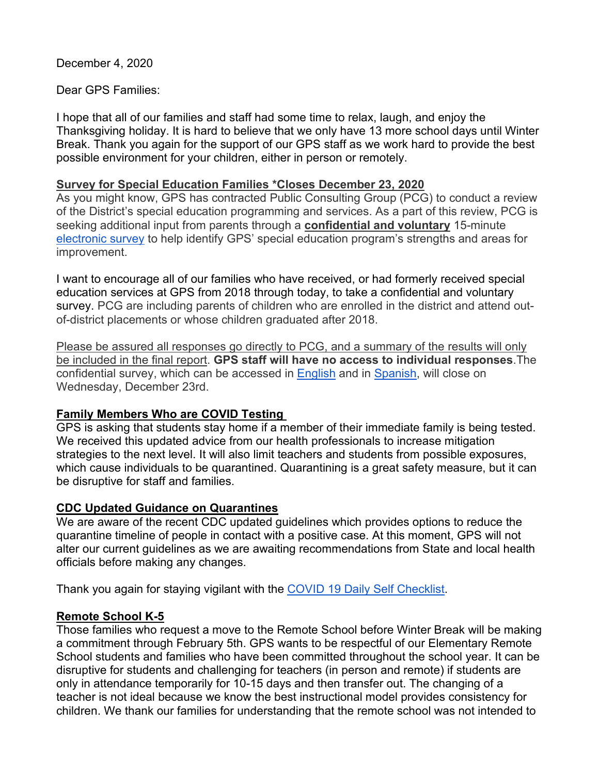December 4, 2020

### Dear GPS Families:

I hope that all of our families and staff had some time to relax, laugh, and enjoy the Thanksgiving holiday. It is hard to believe that we only have 13 more school days until Winter Break. Thank you again for the support of our GPS staff as we work hard to provide the best possible environment for your children, either in person or remotely.

#### **Survey for Special Education Families \*Closes December 23, 2020**

As you might know, GPS has contracted Public Consulting Group (PCG) to conduct a review of the District's special education programming and services. As a part of this review, PCG is seeking additional input from parents through a **confidential and voluntary** 15-minute [electronic survey](http://surveys.pcgus.com/s3/GPSParentSurvey) to help identify GPS' special education program's strengths and areas for improvement.

I want to encourage all of our families who have received, or had formerly received special education services at GPS from 2018 through today, to take a confidential and voluntary survey. PCG are including parents of children who are enrolled in the district and attend outof-district placements or whose children graduated after 2018.

Please be assured all responses go directly to PCG, and a summary of the results will only be included in the final report. **GPS staff will have no access to individual responses**.The confidential survey, which can be accessed in [English](http://surveys.pcgus.com/s3/GPSParentSurvey) and in [Spanish,](http://surveys.pcgus.com/s3/GPSCuestionarioPadres) will close on Wednesday, December 23rd.

## **Family Members Who are COVID Testing**

GPS is asking that students stay home if a member of their immediate family is being tested. We received this updated advice from our health professionals to increase mitigation strategies to the next level. It will also limit teachers and students from possible exposures, which cause individuals to be quarantined. Quarantining is a great safety measure, but it can be disruptive for staff and families.

## **CDC Updated Guidance on Quarantines**

We are aware of the recent CDC updated guidelines which provides options to reduce the quarantine timeline of people in contact with a positive case. At this moment, GPS will not alter our current guidelines as we are awaiting recommendations from State and local health officials before making any changes.

Thank you again for staying vigilant with the [COVID 19 Daily Self Checklist.](https://www.greenwichschools.org/teaching-learning/student-support-services/health-services/covid-19)

## **Remote School K-5**

Those families who request a move to the Remote School before Winter Break will be making a commitment through February 5th. GPS wants to be respectful of our Elementary Remote School students and families who have been committed throughout the school year. It can be disruptive for students and challenging for teachers (in person and remote) if students are only in attendance temporarily for 10-15 days and then transfer out. The changing of a teacher is not ideal because we know the best instructional model provides consistency for children. We thank our families for understanding that the remote school was not intended to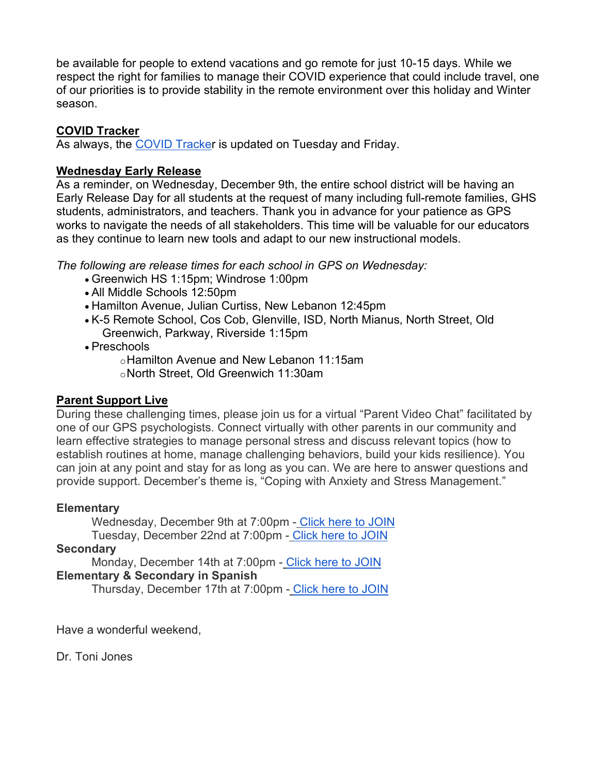be available for people to extend vacations and go remote for just 10-15 days. While we respect the right for families to manage their COVID experience that could include travel, one of our priorities is to provide stability in the remote environment over this holiday and Winter season.

#### **COVID Tracker**

As always, the [COVID Tracker](https://www.greenwichschools.org/teaching-learning/student-support-services/health-services/covid-19) is updated on Tuesday and Friday.

## **Wednesday Early Release**

As a reminder, on Wednesday, December 9th, the entire school district will be having an Early Release Day for all students at the request of many including full-remote families, GHS students, administrators, and teachers. Thank you in advance for your patience as GPS works to navigate the needs of all stakeholders. This time will be valuable for our educators as they continue to learn new tools and adapt to our new instructional models.

*The following are release times for each school in GPS on Wednesday:*

- Greenwich HS 1:15pm; Windrose 1:00pm
- All Middle Schools 12:50pm
- Hamilton Avenue, Julian Curtiss, New Lebanon 12:45pm
- K-5 Remote School, Cos Cob, Glenville, ISD, North Mianus, North Street, Old Greenwich, Parkway, Riverside 1:15pm
- Preschools

oHamilton Avenue and New Lebanon 11:15am oNorth Street, Old Greenwich 11:30am

## **Parent Support Live**

During these challenging times, please join us for a virtual "Parent Video Chat" facilitated by one of our GPS psychologists. Connect virtually with other parents in our community and learn effective strategies to manage personal stress and discuss relevant topics (how to establish routines at home, manage challenging behaviors, build your kids resilience). You can join at any point and stay for as long as you can. We are here to answer questions and provide support. December's theme is, "Coping with Anxiety and Stress Management."

## **Elementary**

Wednesday, December 9th at 7:00pm - [Click here to JOIN](http://meet.google.com/arm-hbjd-yvy) Tuesday, December 22nd at 7:00pm - [Click here to JOIN](http://meet.google.com/arm-hbjd-yvy)

#### **Secondary**

Monday, December 14th at 7:00pm - [Click here to JOIN](http://meet.google.com/arm-hbjd-yvy) **Elementary & Secondary in Spanish**

Thursday, December 17th at 7:00pm - [Click here to JOIN](http://meet.google.com/arm-hbjd-yvy)

Have a wonderful weekend,

Dr. Toni Jones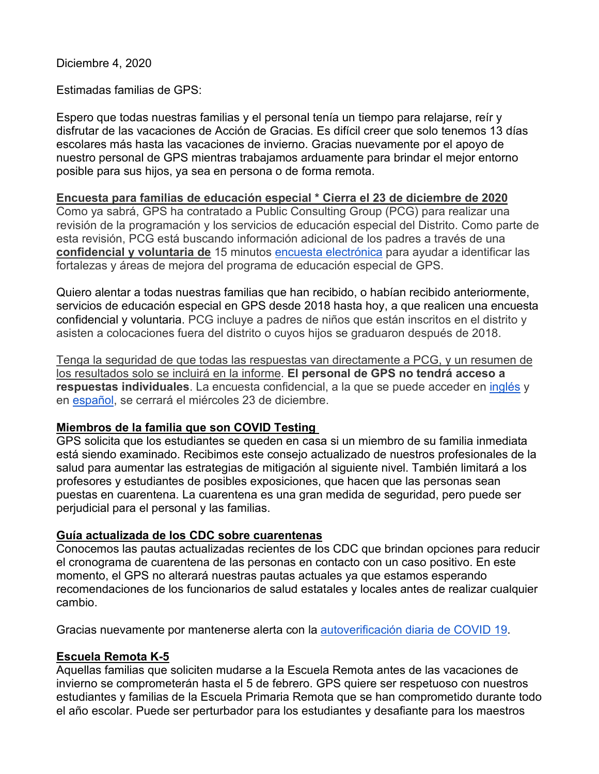Diciembre 4, 2020

Estimadas familias de GPS:

Espero que todas nuestras familias y el personal tenía un tiempo para relajarse, reír y disfrutar de las vacaciones de Acción de Gracias. Es difícil creer que solo tenemos 13 días escolares más hasta las vacaciones de invierno. Gracias nuevamente por el apoyo de nuestro personal de GPS mientras trabajamos arduamente para brindar el mejor entorno posible para sus hijos, ya sea en persona o de forma remota.

### **Encuesta para familias de educación especial \* Cierra el 23 de diciembre de 2020**

Como ya sabrá, GPS ha contratado a Public Consulting Group (PCG) para realizar una revisión de la programación y los servicios de educación especial del Distrito. Como parte de esta revisión, PCG está buscando información adicional de los padres a través de una **confidencial y voluntaria de** 15 minutos [encuesta electrónica](http://surveys.pcgus.com/s3/GPSParentSurvey) para ayudar a identificar las fortalezas y áreas de mejora del programa de educación especial de GPS.

Quiero alentar a todas nuestras familias que han recibido, o habían recibido anteriormente, servicios de educación especial en GPS desde 2018 hasta hoy, a que realicen una encuesta confidencial y voluntaria. PCG incluye a padres de niños que están inscritos en el distrito y asisten a colocaciones fuera del distrito o cuyos hijos se graduaron después de 2018.

Tenga la seguridad de que todas las respuestas van directamente a PCG, y un resumen de los resultados solo se incluirá en la informe. **El personal de GPS no tendrá acceso a respuestas individuales**. La encuesta confidencial, a la que se puede acceder en [inglés](http://surveys.pcgus.com/s3/GPSParentSurvey) y en [español,](http://surveys.pcgus.com/s3/GPSCuestionarioPadres) se cerrará el miércoles 23 de diciembre.

#### **Miembros de la familia que son COVID Testing**

GPS solicita que los estudiantes se queden en casa si un miembro de su familia inmediata está siendo examinado. Recibimos este consejo actualizado de nuestros profesionales de la salud para aumentar las estrategias de mitigación al siguiente nivel. También limitará a los profesores y estudiantes de posibles exposiciones, que hacen que las personas sean puestas en cuarentena. La cuarentena es una gran medida de seguridad, pero puede ser perjudicial para el personal y las familias.

## **Guía actualizada de los CDC sobre cuarentenas**

Conocemos las pautas actualizadas recientes de los CDC que brindan opciones para reducir el cronograma de cuarentena de las personas en contacto con un caso positivo. En este momento, el GPS no alterará nuestras pautas actuales ya que estamos esperando recomendaciones de los funcionarios de salud estatales y locales antes de realizar cualquier cambio.

Gracias nuevamente por mantenerse alerta con la [autoverificación diaria de COVID 19.](https://www.greenwichschools.org/teaching-learning/student-support-services/health-services/covid-19)

## **Escuela Remota K-5**

Aquellas familias que soliciten mudarse a la Escuela Remota antes de las vacaciones de invierno se comprometerán hasta el 5 de febrero. GPS quiere ser respetuoso con nuestros estudiantes y familias de la Escuela Primaria Remota que se han comprometido durante todo el año escolar. Puede ser perturbador para los estudiantes y desafiante para los maestros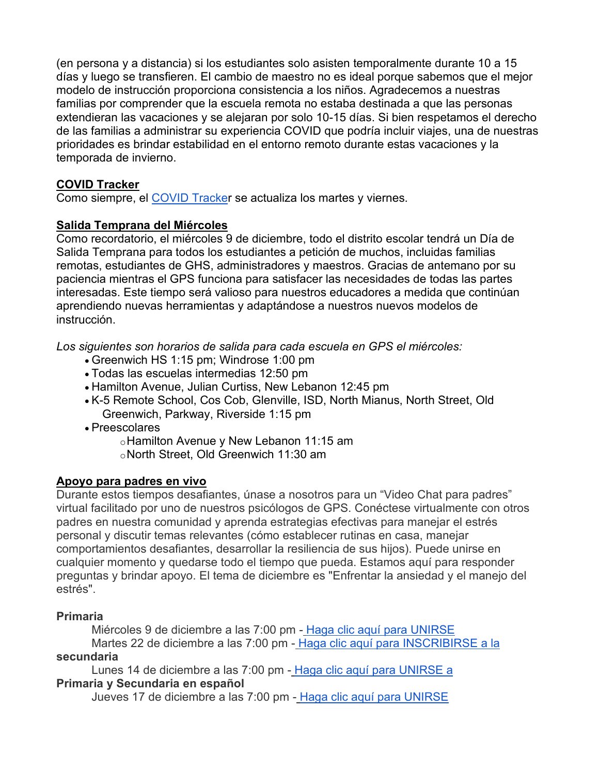(en persona y a distancia) si los estudiantes solo asisten temporalmente durante 10 a 15 días y luego se transfieren. El cambio de maestro no es ideal porque sabemos que el mejor modelo de instrucción proporciona consistencia a los niños. Agradecemos a nuestras familias por comprender que la escuela remota no estaba destinada a que las personas extendieran las vacaciones y se alejaran por solo 10-15 días. Si bien respetamos el derecho de las familias a administrar su experiencia COVID que podría incluir viajes, una de nuestras prioridades es brindar estabilidad en el entorno remoto durante estas vacaciones y la temporada de invierno.

# **COVID Tracker**

Como siempre, el [COVID Tracker](https://www.greenwichschools.org/teaching-learning/student-support-services/health-services/covid-19) se actualiza los martes y viernes.

### **Salida Temprana del Miércoles**

Como recordatorio, el miércoles 9 de diciembre, todo el distrito escolar tendrá un Día de Salida Temprana para todos los estudiantes a petición de muchos, incluidas familias remotas, estudiantes de GHS, administradores y maestros. Gracias de antemano por su paciencia mientras el GPS funciona para satisfacer las necesidades de todas las partes interesadas. Este tiempo será valioso para nuestros educadores a medida que continúan aprendiendo nuevas herramientas y adaptándose a nuestros nuevos modelos de instrucción.

*Los siguientes son horarios de salida para cada escuela en GPS el miércoles:*

- Greenwich HS 1:15 pm; Windrose 1:00 pm
- Todas las escuelas intermedias 12:50 pm
- Hamilton Avenue, Julian Curtiss, New Lebanon 12:45 pm
- K-5 Remote School, Cos Cob, Glenville, ISD, North Mianus, North Street, Old Greenwich, Parkway, Riverside 1:15 pm
- Preescolares

oHamilton Avenue y New Lebanon 11:15 am oNorth Street, Old Greenwich 11:30 am

## **Apoyo para padres en vivo**

Durante estos tiempos desafiantes, únase a nosotros para un "Video Chat para padres" virtual facilitado por uno de nuestros psicólogos de GPS. Conéctese virtualmente con otros padres en nuestra comunidad y aprenda estrategias efectivas para manejar el estrés personal y discutir temas relevantes (cómo establecer rutinas en casa, manejar comportamientos desafiantes, desarrollar la resiliencia de sus hijos). Puede unirse en cualquier momento y quedarse todo el tiempo que pueda. Estamos aquí para responder preguntas y brindar apoyo. El tema de diciembre es "Enfrentar la ansiedad y el manejo del estrés".

## **Primaria**

Miércoles 9 de diciembre a las 7:00 pm - [Haga clic aquí para UNIRSE](http://meet.google.com/arm-hbjd-yvy) Martes 22 de diciembre a las 7:00 pm - [Haga clic aquí para INSCRIBIRSE a la](http://meet.google.com/arm-hbjd-yvy) **secundaria**

Lunes 14 de diciembre a las 7:00 pm - [Haga clic aquí para UNIRSE a](http://meet.google.com/arm-hbjd-yvy) **Primaria y Secundaria en español**

Jueves 17 de diciembre a las 7:00 pm - [Haga clic aquí para UNIRSE](http://meet.google.com/arm-hbjd-yvy)